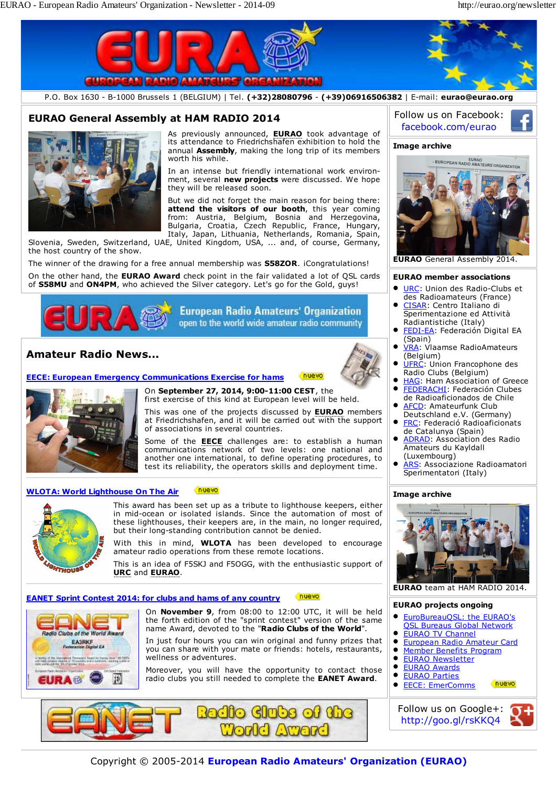